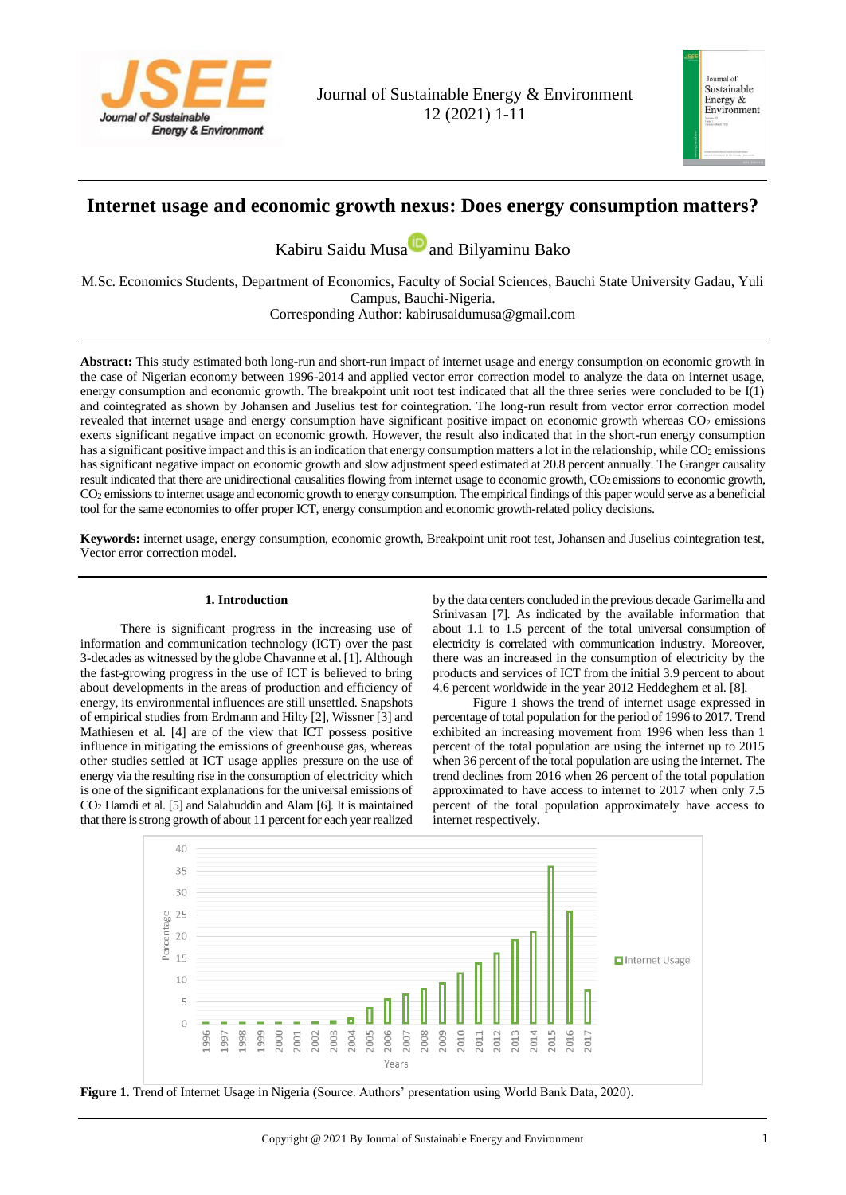



# **Internet usage and economic growth nexus: Does energy consumption matters?**

Kabiru Saidu Musa and Bilyaminu Bako

M.Sc. Economics Students, Department of Economics, Faculty of Social Sciences, Bauchi State University Gadau, Yuli Campus, Bauchi-Nigeria.

Corresponding Author: kabirusaidumusa@gmail.com

**Abstract:** This study estimated both long-run and short-run impact of internet usage and energy consumption on economic growth in the case of Nigerian economy between 1996-2014 and applied vector error correction model to analyze the data on internet usage, energy consumption and economic growth. The breakpoint unit root test indicated that all the three series were concluded to be I(1) and cointegrated as shown by Johansen and Juselius test for cointegration. The long-run result from vector error correction model revealed that internet usage and energy consumption have significant positive impact on economic growth whereas CO2 emissions exerts significant negative impact on economic growth. However, the result also indicated that in the short-run energy consumption has a significant positive impact and this is an indication that energy consumption matters a lot in the relationship, while CO2 emissions has significant negative impact on economic growth and slow adjustment speed estimated at 20.8 percent annually. The Granger causality result indicated that there are unidirectional causalities flowing from internet usage to economic growth, CO2 emissions to economic growth, CO<sup>2</sup> emissions to internet usage and economic growth to energy consumption. The empirical findings of this paper would serve as a beneficial tool for the same economies to offer proper ICT, energy consumption and economic growth-related policy decisions.

**Keywords:** internet usage, energy consumption, economic growth, Breakpoint unit root test, Johansen and Juselius cointegration test, Vector error correction model.

# **1. Introduction**

There is significant progress in the increasing use of information and communication technology (ICT) over the past 3-decades as witnessed by the globe Chavanne et al. [1]. Although the fast-growing progress in the use of ICT is believed to bring about developments in the areas of production and efficiency of energy, its environmental influences are still unsettled. Snapshots of empirical studies from Erdmann and Hilty [2], Wissner [3] and Mathiesen et al. [4] are of the view that ICT possess positive influence in mitigating the emissions of greenhouse gas, whereas other studies settled at ICT usage applies pressure on the use of energy via the resulting rise in the consumption of electricity which is one of the significant explanations for the universal emissions of CO<sup>2</sup> Hamdi et al. [5] and Salahuddin and Alam [6]. It is maintained that there is strong growth of about 11 percent for each year realized

by the data centers concluded in the previous decade Garimella and Srinivasan [7]. As indicated by the available information that about 1.1 to 1.5 percent of the total universal consumption of electricity is correlated with communication industry. Moreover, there was an increased in the consumption of electricity by the products and services of ICT from the initial 3.9 percent to about 4.6 percent worldwide in the year 2012 Heddeghem et al. [8].

Figure 1 shows the trend of internet usage expressed in percentage of total population for the period of 1996 to 2017. Trend exhibited an increasing movement from 1996 when less than 1 percent of the total population are using the internet up to 2015 when 36 percent of the total population are using the internet. The trend declines from 2016 when 26 percent of the total population approximated to have access to internet to 2017 when only 7.5 percent of the total population approximately have access to internet respectively.



**Figure 1.** Trend of Internet Usage in Nigeria (Source. Authors' presentation using World Bank Data, 2020).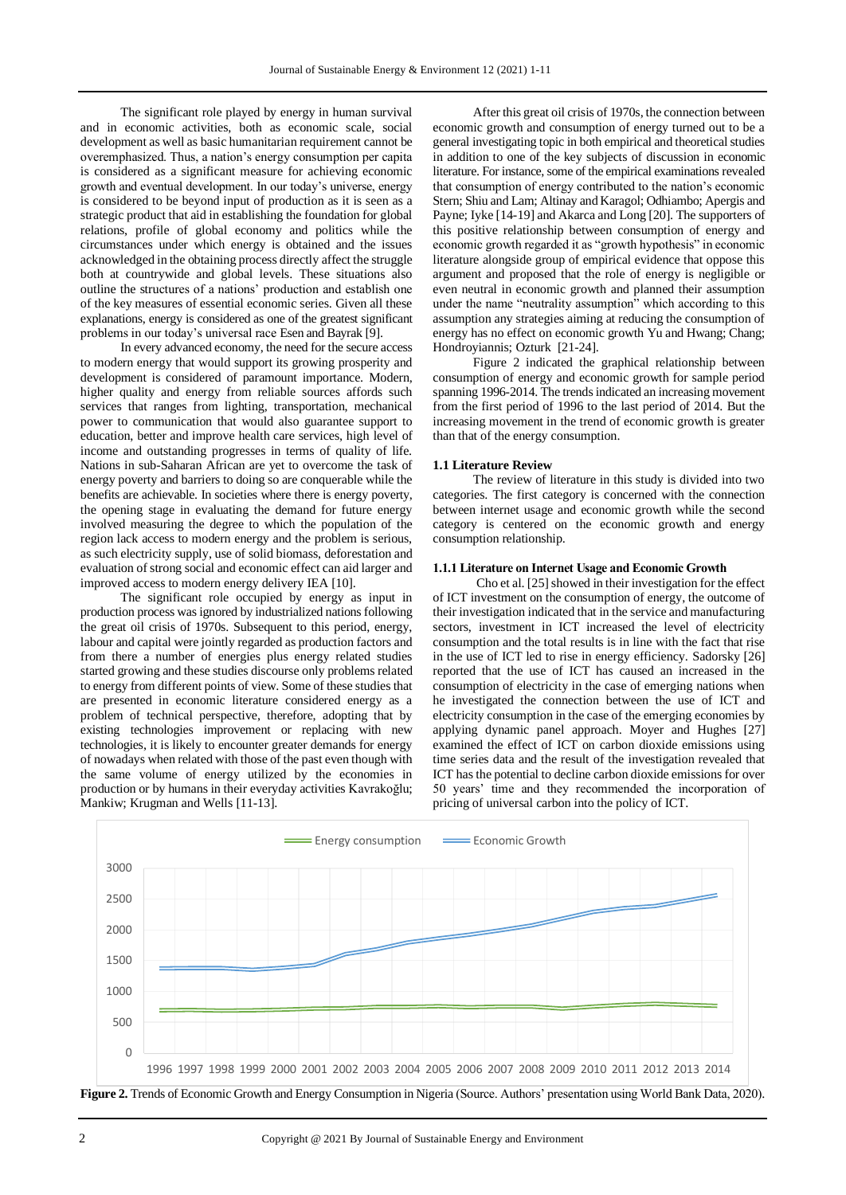The significant role played by energy in human survival and in economic activities, both as economic scale, social development as well as basic humanitarian requirement cannot be overemphasized. Thus, a nation's energy consumption per capita is considered as a significant measure for achieving economic growth and eventual development. In our today's universe, energy is considered to be beyond input of production as it is seen as a strategic product that aid in establishing the foundation for global relations, profile of global economy and politics while the circumstances under which energy is obtained and the issues acknowledged in the obtaining process directly affect the struggle both at countrywide and global levels. These situations also outline the structures of a nations' production and establish one of the key measures of essential economic series. Given all these explanations, energy is considered as one of the greatest significant problems in our today's universal race Esen and Bayrak [9].

In every advanced economy, the need for the secure access to modern energy that would support its growing prosperity and development is considered of paramount importance. Modern, higher quality and energy from reliable sources affords such services that ranges from lighting, transportation, mechanical power to communication that would also guarantee support to education, better and improve health care services, high level of income and outstanding progresses in terms of quality of life. Nations in sub-Saharan African are yet to overcome the task of energy poverty and barriers to doing so are conquerable while the benefits are achievable. In societies where there is energy poverty, the opening stage in evaluating the demand for future energy involved measuring the degree to which the population of the region lack access to modern energy and the problem is serious, as such electricity supply, use of solid biomass, deforestation and evaluation of strong social and economic effect can aid larger and improved access to modern energy delivery IEA [10].

The significant role occupied by energy as input in production process was ignored by industrialized nations following the great oil crisis of 1970s. Subsequent to this period, energy, labour and capital were jointly regarded as production factors and from there a number of energies plus energy related studies started growing and these studies discourse only problems related to energy from different points of view. Some of these studies that are presented in economic literature considered energy as a problem of technical perspective, therefore, adopting that by existing technologies improvement or replacing with new technologies, it is likely to encounter greater demands for energy of nowadays when related with those of the past even though with the same volume of energy utilized by the economies in production or by humans in their everyday activities Kavrakoğlu; Mankiw; Krugman and Wells [11-13].

After this great oil crisis of 1970s, the connection between economic growth and consumption of energy turned out to be a general investigating topic in both empirical and theoretical studies in addition to one of the key subjects of discussion in economic literature. For instance, some of the empirical examinations revealed that consumption of energy contributed to the nation's economic Stern; Shiu and Lam; Altinay and Karagol; Odhiambo; Apergis and Payne; Iyke [14-19] and Akarca and Long [20]. The supporters of this positive relationship between consumption of energy and economic growth regarded it as "growth hypothesis" in economic literature alongside group of empirical evidence that oppose this argument and proposed that the role of energy is negligible or even neutral in economic growth and planned their assumption under the name "neutrality assumption" which according to this assumption any strategies aiming at reducing the consumption of energy has no effect on economic growth Yu and Hwang; Chang; Hondroyiannis; Ozturk [21-24].

Figure 2 indicated the graphical relationship between consumption of energy and economic growth for sample period spanning 1996-2014. The trends indicated an increasing movement from the first period of 1996 to the last period of 2014. But the increasing movement in the trend of economic growth is greater than that of the energy consumption.

### **1.1 Literature Review**

The review of literature in this study is divided into two categories. The first category is concerned with the connection between internet usage and economic growth while the second category is centered on the economic growth and energy consumption relationship.

#### **1.1.1 Literature on Internet Usage and Economic Growth**

Cho et al. [25] showed in their investigation for the effect of ICT investment on the consumption of energy, the outcome of their investigation indicated that in the service and manufacturing sectors, investment in ICT increased the level of electricity consumption and the total results is in line with the fact that rise in the use of ICT led to rise in energy efficiency. Sadorsky [26] reported that the use of ICT has caused an increased in the consumption of electricity in the case of emerging nations when he investigated the connection between the use of ICT and electricity consumption in the case of the emerging economies by applying dynamic panel approach. Moyer and Hughes [27] examined the effect of ICT on carbon dioxide emissions using time series data and the result of the investigation revealed that ICT has the potential to decline carbon dioxide emissions for over 50 years' time and they recommended the incorporation of pricing of universal carbon into the policy of ICT.



**Figure 2.** Trends of Economic Growth and Energy Consumption in Nigeria (Source. Authors' presentation using World Bank Data, 2020).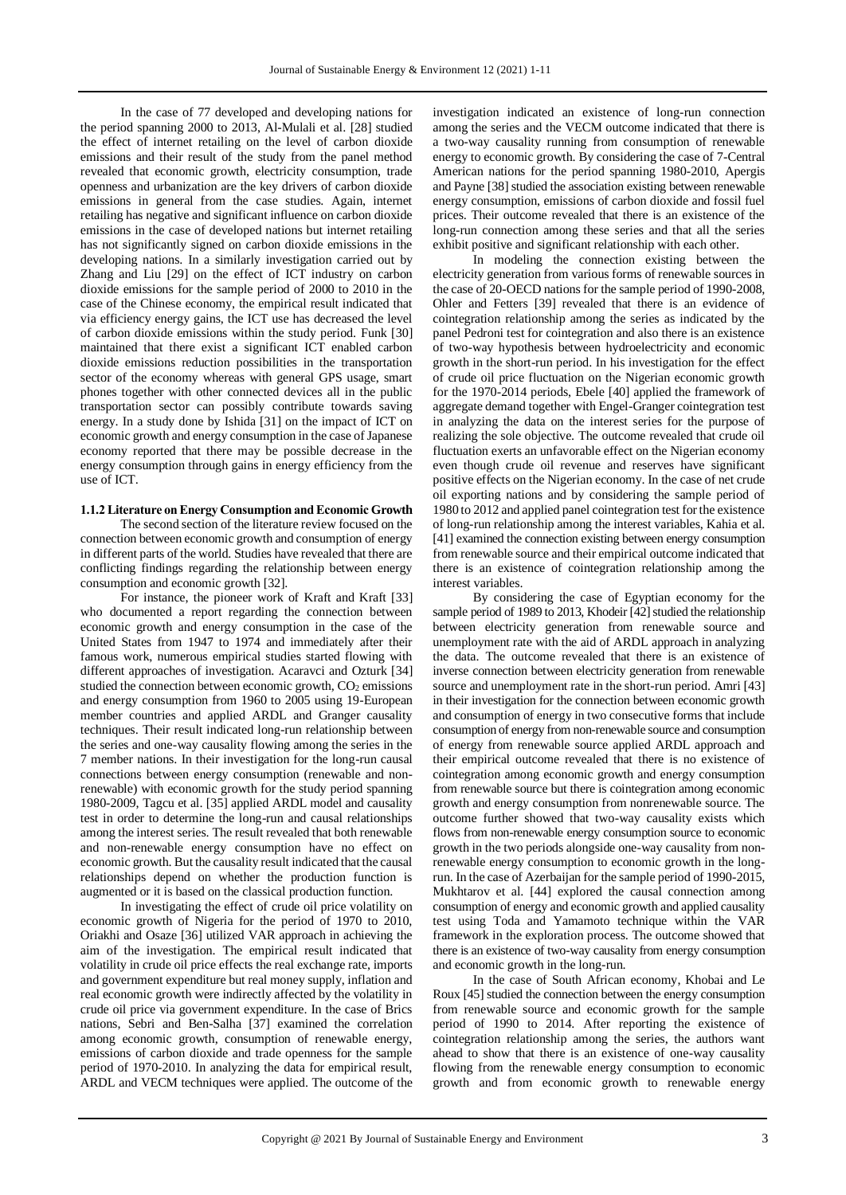In the case of 77 developed and developing nations for the period spanning 2000 to 2013, Al-Mulali et al. [28] studied the effect of internet retailing on the level of carbon dioxide emissions and their result of the study from the panel method revealed that economic growth, electricity consumption, trade openness and urbanization are the key drivers of carbon dioxide emissions in general from the case studies. Again, internet retailing has negative and significant influence on carbon dioxide emissions in the case of developed nations but internet retailing has not significantly signed on carbon dioxide emissions in the developing nations. In a similarly investigation carried out by Zhang and Liu [29] on the effect of ICT industry on carbon dioxide emissions for the sample period of 2000 to 2010 in the case of the Chinese economy, the empirical result indicated that via efficiency energy gains, the ICT use has decreased the level of carbon dioxide emissions within the study period. Funk [30] maintained that there exist a significant ICT enabled carbon dioxide emissions reduction possibilities in the transportation sector of the economy whereas with general GPS usage, smart phones together with other connected devices all in the public transportation sector can possibly contribute towards saving energy. In a study done by Ishida [31] on the impact of ICT on economic growth and energy consumption in the case of Japanese economy reported that there may be possible decrease in the energy consumption through gains in energy efficiency from the use of ICT.

#### **1.1.2 Literature on Energy Consumption and Economic Growth**

The second section of the literature review focused on the connection between economic growth and consumption of energy in different parts of the world. Studies have revealed that there are conflicting findings regarding the relationship between energy consumption and economic growth [32].

For instance, the pioneer work of Kraft and Kraft [33] who documented a report regarding the connection between economic growth and energy consumption in the case of the United States from 1947 to 1974 and immediately after their famous work, numerous empirical studies started flowing with different approaches of investigation. Acaravci and Ozturk [34] studied the connection between economic growth, CO<sub>2</sub> emissions and energy consumption from 1960 to 2005 using 19-European member countries and applied ARDL and Granger causality techniques. Their result indicated long-run relationship between the series and one-way causality flowing among the series in the 7 member nations. In their investigation for the long-run causal connections between energy consumption (renewable and nonrenewable) with economic growth for the study period spanning 1980-2009, Tagcu et al. [35] applied ARDL model and causality test in order to determine the long-run and causal relationships among the interest series. The result revealed that both renewable and non-renewable energy consumption have no effect on economic growth. But the causality result indicated that the causal relationships depend on whether the production function is augmented or it is based on the classical production function.

In investigating the effect of crude oil price volatility on economic growth of Nigeria for the period of 1970 to 2010, Oriakhi and Osaze [36] utilized VAR approach in achieving the aim of the investigation. The empirical result indicated that volatility in crude oil price effects the real exchange rate, imports and government expenditure but real money supply, inflation and real economic growth were indirectly affected by the volatility in crude oil price via government expenditure. In the case of Brics nations, Sebri and Ben-Salha [37] examined the correlation among economic growth, consumption of renewable energy, emissions of carbon dioxide and trade openness for the sample period of 1970-2010. In analyzing the data for empirical result, ARDL and VECM techniques were applied. The outcome of the

investigation indicated an existence of long-run connection among the series and the VECM outcome indicated that there is a two-way causality running from consumption of renewable energy to economic growth. By considering the case of 7-Central American nations for the period spanning 1980-2010, Apergis and Payne [38] studied the association existing between renewable energy consumption, emissions of carbon dioxide and fossil fuel prices. Their outcome revealed that there is an existence of the long-run connection among these series and that all the series exhibit positive and significant relationship with each other.

In modeling the connection existing between the electricity generation from various forms of renewable sources in the case of 20-OECD nations for the sample period of 1990-2008, Ohler and Fetters [39] revealed that there is an evidence of cointegration relationship among the series as indicated by the panel Pedroni test for cointegration and also there is an existence of two-way hypothesis between hydroelectricity and economic growth in the short-run period. In his investigation for the effect of crude oil price fluctuation on the Nigerian economic growth for the 1970-2014 periods, Ebele [40] applied the framework of aggregate demand together with Engel-Granger cointegration test in analyzing the data on the interest series for the purpose of realizing the sole objective. The outcome revealed that crude oil fluctuation exerts an unfavorable effect on the Nigerian economy even though crude oil revenue and reserves have significant positive effects on the Nigerian economy. In the case of net crude oil exporting nations and by considering the sample period of 1980 to 2012 and applied panel cointegration test for the existence of long-run relationship among the interest variables, Kahia et al. [41] examined the connection existing between energy consumption from renewable source and their empirical outcome indicated that there is an existence of cointegration relationship among the interest variables.

By considering the case of Egyptian economy for the sample period of 1989 to 2013, Khodeir [42] studied the relationship between electricity generation from renewable source and unemployment rate with the aid of ARDL approach in analyzing the data. The outcome revealed that there is an existence of inverse connection between electricity generation from renewable source and unemployment rate in the short-run period. Amri [43] in their investigation for the connection between economic growth and consumption of energy in two consecutive forms that include consumption of energy from non-renewable source and consumption of energy from renewable source applied ARDL approach and their empirical outcome revealed that there is no existence of cointegration among economic growth and energy consumption from renewable source but there is cointegration among economic growth and energy consumption from nonrenewable source. The outcome further showed that two-way causality exists which flows from non-renewable energy consumption source to economic growth in the two periods alongside one-way causality from nonrenewable energy consumption to economic growth in the longrun. In the case of Azerbaijan for the sample period of 1990-2015, Mukhtarov et al. [44] explored the causal connection among consumption of energy and economic growth and applied causality test using Toda and Yamamoto technique within the VAR framework in the exploration process. The outcome showed that there is an existence of two-way causality from energy consumption and economic growth in the long-run.

In the case of South African economy, Khobai and Le Roux [45] studied the connection between the energy consumption from renewable source and economic growth for the sample period of 1990 to 2014. After reporting the existence of cointegration relationship among the series, the authors want ahead to show that there is an existence of one-way causality flowing from the renewable energy consumption to economic growth and from economic growth to renewable energy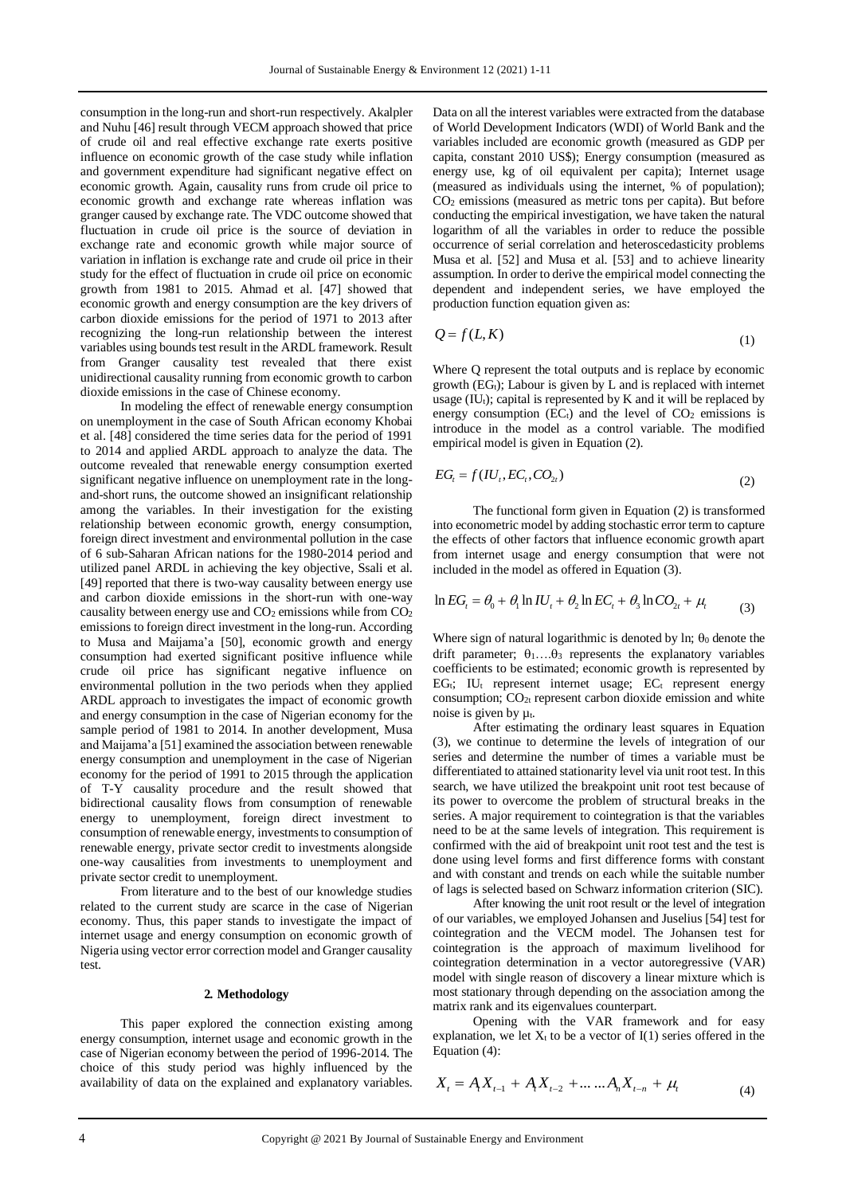consumption in the long-run and short-run respectively. Akalpler and Nuhu [46] result through VECM approach showed that price of crude oil and real effective exchange rate exerts positive influence on economic growth of the case study while inflation and government expenditure had significant negative effect on economic growth. Again, causality runs from crude oil price to economic growth and exchange rate whereas inflation was granger caused by exchange rate. The VDC outcome showed that fluctuation in crude oil price is the source of deviation in exchange rate and economic growth while major source of variation in inflation is exchange rate and crude oil price in their study for the effect of fluctuation in crude oil price on economic growth from 1981 to 2015. Ahmad et al. [47] showed that economic growth and energy consumption are the key drivers of carbon dioxide emissions for the period of 1971 to 2013 after recognizing the long-run relationship between the interest variables using bounds test result in the ARDL framework. Result from Granger causality test revealed that there exist unidirectional causality running from economic growth to carbon dioxide emissions in the case of Chinese economy.

In modeling the effect of renewable energy consumption on unemployment in the case of South African economy Khobai et al. [48] considered the time series data for the period of 1991 to 2014 and applied ARDL approach to analyze the data. The outcome revealed that renewable energy consumption exerted significant negative influence on unemployment rate in the longand-short runs, the outcome showed an insignificant relationship among the variables. In their investigation for the existing relationship between economic growth, energy consumption, foreign direct investment and environmental pollution in the case of 6 sub-Saharan African nations for the 1980-2014 period and utilized panel ARDL in achieving the key objective, Ssali et al. [49] reported that there is two-way causality between energy use and carbon dioxide emissions in the short-run with one-way causality between energy use and  $CO<sub>2</sub>$  emissions while from  $CO<sub>2</sub>$ emissions to foreign direct investment in the long-run. According to Musa and Maijama'a [50], economic growth and energy consumption had exerted significant positive influence while crude oil price has significant negative influence on environmental pollution in the two periods when they applied ARDL approach to investigates the impact of economic growth and energy consumption in the case of Nigerian economy for the sample period of 1981 to 2014. In another development, Musa and Maijama'a [51] examined the association between renewable energy consumption and unemployment in the case of Nigerian economy for the period of 1991 to 2015 through the application of T-Y causality procedure and the result showed that bidirectional causality flows from consumption of renewable energy to unemployment, foreign direct investment to consumption of renewable energy, investments to consumption of renewable energy, private sector credit to investments alongside one-way causalities from investments to unemployment and private sector credit to unemployment.

From literature and to the best of our knowledge studies related to the current study are scarce in the case of Nigerian economy. Thus, this paper stands to investigate the impact of internet usage and energy consumption on economic growth of Nigeria using vector error correction model and Granger causality test.

#### **2***.* **Methodology**

This paper explored the connection existing among energy consumption, internet usage and economic growth in the case of Nigerian economy between the period of 1996-2014. The choice of this study period was highly influenced by the availability of data on the explained and explanatory variables. Data on all the interest variables were extracted from the database of World Development Indicators (WDI) of World Bank and the variables included are economic growth (measured as GDP per capita, constant 2010 US\$); Energy consumption (measured as energy use, kg of oil equivalent per capita); Internet usage (measured as individuals using the internet, % of population); CO<sup>2</sup> emissions (measured as metric tons per capita). But before conducting the empirical investigation, we have taken the natural logarithm of all the variables in order to reduce the possible occurrence of serial correlation and heteroscedasticity problems Musa et al. [52] and Musa et al. [53] and to achieve linearity assumption. In order to derive the empirical model connecting the dependent and independent series, we have employed the production function equation given as:

$$
Q = f(L, K) \tag{1}
$$

Where Q represent the total outputs and is replace by economic growth  $(EG_t)$ ; Labour is given by L and is replaced with internet usage (IU<sub>t</sub>); capital is represented by K and it will be replaced by energy consumption  $(EC_t)$  and the level of  $CO_2$  emissions is introduce in the model as a control variable. The modified empirical model is given in Equation (2).

$$
EG_i = f(IU_i, EC_i, CO_{2i})
$$
\n<sup>(2)</sup>

The functional form given in Equation (2) is transformed into econometric model by adding stochastic error term to capture the effects of other factors that influence economic growth apart from internet usage and energy consumption that were not included in the model as offered in Equation (3).

$$
\ln EG_{t} = \theta_{0} + \theta_{1} \ln IU_{t} + \theta_{2} \ln EC_{t} + \theta_{3} \ln CO_{2t} + \mu_{t}
$$
 (3)

Where sign of natural logarithmic is denoted by  $ln$ ;  $\theta_0$  denote the drift parameter;  $\theta_1$ .... $\theta_3$  represents the explanatory variables coefficients to be estimated; economic growth is represented by  $EG_t$ ; IU<sub>t</sub> represent internet usage; EC<sub>t</sub> represent energy consumption; CO2t represent carbon dioxide emission and white noise is given by  $\mu_t$ .

After estimating the ordinary least squares in Equation (3), we continue to determine the levels of integration of our series and determine the number of times a variable must be differentiated to attained stationarity level via unit root test. In this search, we have utilized the breakpoint unit root test because of its power to overcome the problem of structural breaks in the series. A major requirement to cointegration is that the variables need to be at the same levels of integration. This requirement is confirmed with the aid of breakpoint unit root test and the test is done using level forms and first difference forms with constant and with constant and trends on each while the suitable number of lags is selected based on Schwarz information criterion (SIC).

After knowing the unit root result or the level of integration of our variables, we employed Johansen and Juselius [54] test for cointegration and the VECM model. The Johansen test for cointegration is the approach of maximum livelihood for cointegration determination in a vector autoregressive (VAR) model with single reason of discovery a linear mixture which is most stationary through depending on the association among the matrix rank and its eigenvalues counterpart.

Opening with the VAR framework and for easy explanation, we let  $X_t$  to be a vector of  $I(1)$  series offered in the Equation (4):

$$
X_{t} = A_{t} X_{t-1} + A_{t} X_{t-2} + \dots \dots A_{n} X_{t-n} + \mu_{t}
$$
\n<sup>(4)</sup>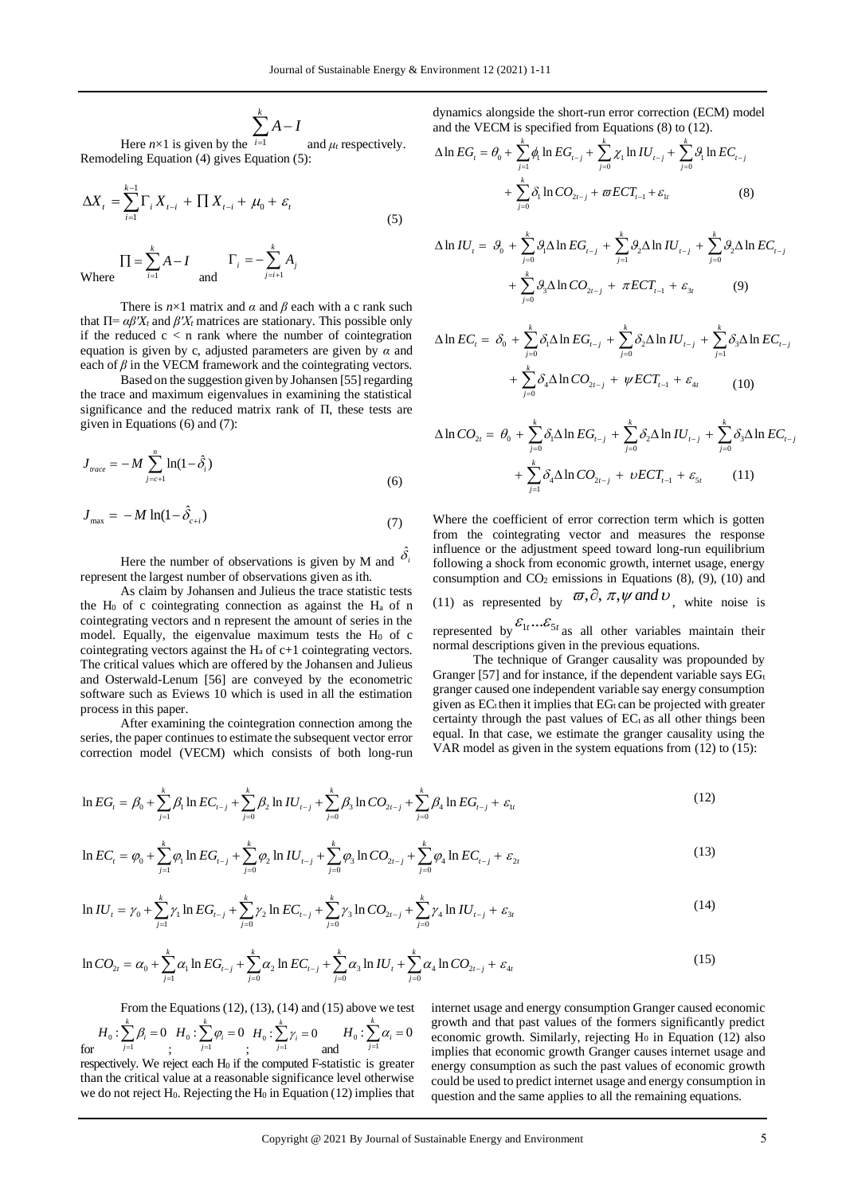$$
\sum_{i=1}^k A-I
$$

Here  $n \times 1$  is given by the  $i=1$ and *μ<sup>t</sup>* respectively. Remodeling Equation (4) gives Equation (5):

$$
\Delta X_{t} = \sum_{i=1}^{k-1} \Gamma_{i} X_{t-i} + \prod X_{t-i} + \mu_{0} + \varepsilon_{t}
$$
  

$$
\prod_{i=1}^{k} \Gamma_{i} X_{t-i} + \mu_{0} + \varepsilon_{t}
$$
  

$$
\prod_{i=1}^{k} A - I \qquad \qquad \Gamma_{i} = -\sum_{i=i+1}^{k} A_{i}
$$
 (5)

and  $\sum_{j=i+1}^{i}$ 

Where  $i=1$  $\prod = \sum_{i=1} A -$ 

There is  $n \times 1$  matrix and  $\alpha$  and  $\beta$  each with a c rank such that  $\Pi = \alpha \beta' X_t$  and  $\beta' X_t$  matrices are stationary. This possible only if the reduced  $c < n$  rank where the number of cointegration equation is given by c, adjusted parameters are given by  $\alpha$  and each of  $\beta$  in the VECM framework and the cointegrating vectors.

Based on the suggestion given by Johansen [55] regarding the trace and maximum eigenvalues in examining the statistical significance and the reduced matrix rank of П, these tests are given in Equations (6) and (7):

$$
J_{\text{trace}} = -M \sum_{j=c+1}^{n} \ln(1 - \hat{\delta}_i)
$$
 (6)

$$
J_{\text{max}} = -M \ln(1 - \hat{\delta}_{c+i}) \tag{7}
$$

Here the number of observations is given by M and  $\hat{\delta}_i$ represent the largest number of observations given as ith.

As claim by Johansen and Julieus the trace statistic tests the H<sub>0</sub> of c cointegrating connection as against the H<sub>a</sub> of n cointegrating vectors and n represent the amount of series in the model. Equally, the eigenvalue maximum tests the  $H_0$  of c cointegrating vectors against the H<sup>a</sup> of c+1 cointegrating vectors. The critical values which are offered by the Johansen and Julieus and Osterwald-Lenum [56] are conveyed by the econometric software such as Eviews 10 which is used in all the estimation process in this paper.

After examining the cointegration connection among the series, the paper continues to estimate the subsequent vector error dynamics alongside the short-run error correction (ECM) model and the VECM is specified from Equations (8) to (12).

$$
\Delta \ln EG_{t} = \theta_{0} + \sum_{j=1}^{k} \phi_{j} \ln EG_{t-j} + \sum_{j=0}^{k} \chi_{1} \ln IU_{t-j} + \sum_{j=0}^{k} \mathcal{G}_{j} \ln EC_{t-j} + \sum_{j=0}^{k} \delta_{j} \ln CO_{2t-j} + \varpi ECT_{t-1} + \varepsilon_{1t}
$$
\n(8)

$$
\Delta \ln IU_{t} = \mathcal{G}_{0} + \sum_{j=0}^{k} \mathcal{G}_{1} \Delta \ln EG_{t-j} + \sum_{j=1}^{k} \mathcal{G}_{2} \Delta \ln IU_{t-j} + \sum_{j=0}^{k} \mathcal{G}_{2} \Delta \ln EC_{t-j} + \sum_{j=0}^{k} \mathcal{G}_{3} \Delta \ln CO_{2t-j} + \pi ECT_{t-1} + \varepsilon_{3t}
$$
(9)

$$
\Delta \ln EC_{t} = \delta_{0} + \sum_{j=0}^{k} \delta_{1} \Delta \ln EG_{t-j} + \sum_{j=0}^{k} \delta_{2} \Delta \ln IU_{t-j} + \sum_{j=1}^{k} \delta_{3} \Delta \ln EC_{t-j} + \sum_{j=0}^{k} \delta_{4} \Delta \ln CO_{2t-j} + \psi ECT_{t-1} + \varepsilon_{4t}
$$
 (10)

$$
\Delta \ln CO_{2t} = \theta_0 + \sum_{j=0}^{k} \delta_1 \Delta \ln EG_{t-j} + \sum_{j=0}^{k} \delta_2 \Delta \ln IU_{t-j} + \sum_{j=0}^{k} \delta_3 \Delta \ln EC_{t-j} + \sum_{j=1}^{k} \delta_4 \Delta \ln CO_{2t-j} + \nu ECT_{t-1} + \varepsilon_{5t}
$$
 (11)

Where the coefficient of error correction term which is gotten from the cointegrating vector and measures the response influence or the adjustment speed toward long-run equilibrium following a shock from economic growth, internet usage, energy consumption and  $CO<sub>2</sub>$  emissions in Equations (8), (9), (10) and

(11) as represented by 
$$
\overline{\omega}
$$
,  $\partial$ ,  $\pi$ ,  $\psi$  and  $\upsilon$ , white noise is

represented by  $\epsilon_1$ ... $\epsilon_5$  as all other variables maintain their normal descriptions given in the previous equations.

The technique of Granger causality was propounded by Granger [57] and for instance, if the dependent variable says  $EG_t$ granger caused one independent variable say energy consumption given as  $EC_t$  then it implies that  $EG_t$  can be projected with greater certainty through the past values of  $EC<sub>t</sub>$  as all other things been equal. In that case, we estimate the granger causality using the VAR model as given in the system equations from (12) to (15):

After examining the cointegration connection among the  
series, the paper continues to estimate the subsequent vector error  
correction model (VECM) which consists of both long-run  

$$
\ln EG_{t} = \beta_{0} + \sum_{j=1}^{k} \beta_{1} \ln EC_{t-j} + \sum_{j=0}^{k} \beta_{2} \ln IU_{t-j} + \sum_{j=0}^{k} \beta_{3} \ln CO_{2t-j} + \sum_{j=0}^{k} \beta_{4} \ln EG_{t-j} + \varepsilon_{1t}
$$
 (12)

$$
\ln EG_{t} = \beta_{0} + \sum_{j=1}^{k} \beta_{1} \ln EC_{t-j} + \sum_{j=0}^{k} \beta_{2} \ln IU_{t-j} + \sum_{j=0}^{k} \beta_{3} \ln CO_{2t-j} + \sum_{j=0}^{k} \beta_{4} \ln EG_{t-j} + \varepsilon_{1t}
$$
\n
$$
\ln EC_{t} = \varphi_{0} + \sum_{j=1}^{k} \varphi_{1} \ln EG_{t-j} + \sum_{j=0}^{k} \varphi_{2} \ln IU_{t-j} + \sum_{j=0}^{k} \varphi_{3} \ln CO_{2t-j} + \sum_{j=0}^{k} \varphi_{4} \ln EC_{t-j} + \varepsilon_{2t}
$$
\n
$$
\ln IU_{t} = \gamma_{0} + \sum_{j=1}^{k} \gamma_{1} \ln EG_{t-j} + \sum_{j=0}^{k} \gamma_{2} \ln EC_{t-j} + \sum_{j=0}^{k} \gamma_{3} \ln CO_{2t-j} + \sum_{j=0}^{k} \gamma_{4} \ln IU_{t-j} + \varepsilon_{3t}
$$
\n
$$
(14)
$$

$$
\ln EC_{t} = \varphi_{0} + \sum_{j=1} \varphi_{1} \ln EG_{t-j} + \sum_{j=0} \varphi_{2} \ln IU_{t-j} + \sum_{j=0} \varphi_{3} \ln CO_{2t-j} + \sum_{j=0} \varphi_{4} \ln EC_{t-j} + \varepsilon_{2t}
$$
\n
$$
\ln IU_{t} = \gamma_{0} + \sum_{j=1}^{k} \gamma_{1} \ln EG_{t-j} + \sum_{j=0}^{k} \gamma_{2} \ln EC_{t-j} + \sum_{j=0}^{k} \gamma_{3} \ln CO_{2t-j} + \sum_{j=0}^{k} \gamma_{4} \ln IU_{t-j} + \varepsilon_{3t}
$$
\n
$$
\ln CO_{2t} = \alpha_{0} + \sum_{j=1}^{k} \alpha_{1} \ln EG_{t-j} + \sum_{j=0}^{k} \alpha_{2} \ln EC_{t-j} + \sum_{j=0}^{k} \alpha_{3} \ln IU_{t} + \sum_{j=0}^{k} \alpha_{4} \ln CO_{2t-j} + \varepsilon_{4t}
$$
\n(15)

$$
\ln IU_{t} = \gamma_{0} + \sum_{j=1} \gamma_{1} \ln E G_{t-j} + \sum_{j=0} \gamma_{2} \ln E C_{t-j} + \sum_{j=0} \gamma_{3} \ln C O_{2t-j} + \sum_{j=0} \gamma_{4} \ln I U_{t-j} + \varepsilon_{3t}
$$
\n
$$
\ln C O_{2t} = \alpha_{0} + \sum_{j=1}^{k} \alpha_{1} \ln E G_{t-j} + \sum_{j=0}^{k} \alpha_{2} \ln E C_{t-j} + \sum_{j=0}^{k} \alpha_{3} \ln I U_{t} + \sum_{j=0}^{k} \alpha_{4} \ln C O_{2t-j} + \varepsilon_{4t}
$$
\n(15)

From the Equations  $(12)$ ,  $(13)$ ,  $(14)$  and  $(15)$  above we test

$$
H_0: \sum_{j=1}^k \beta_j = 0 \quad H_0: \sum_{j=1}^k \varphi_j = 0 \quad H_0: \sum_{j=1}^k \gamma_j = 0 \quad H_0: \sum_{j=1}^k \alpha_j = 0
$$

respectively. We reject each H<sub>0</sub> if the computed F-statistic is greater than the critical value at a reasonable significance level otherwise we do not reject H<sub>0</sub>. Rejecting the H<sub>0</sub> in Equation (12) implies that internet usage and energy consumption Granger caused economic growth and that past values of the formers significantly predict economic growth. Similarly, rejecting  $H_0$  in Equation (12) also implies that economic growth Granger causes internet usage and energy consumption as such the past values of economic growth could be used to predict internet usage and energy consumption in question and the same applies to all the remaining equations.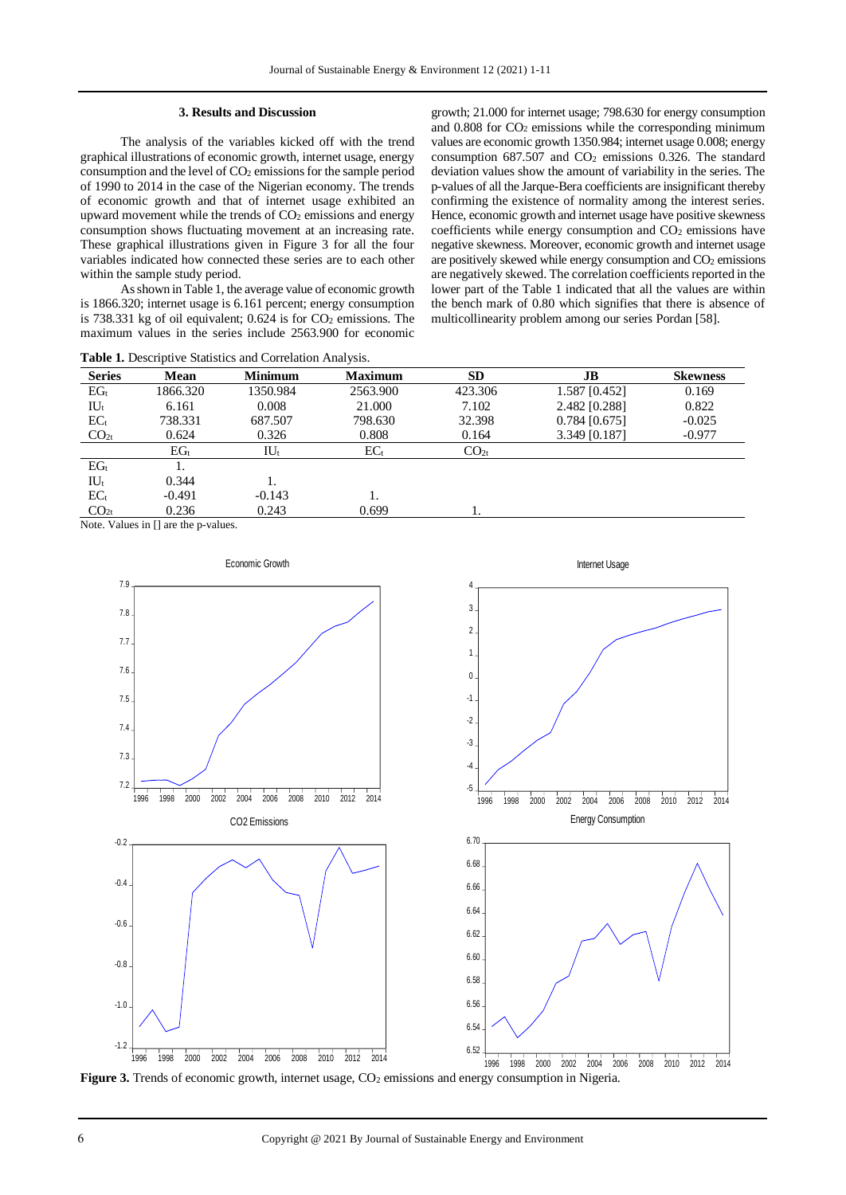## **3. Results and Discussion**

The analysis of the variables kicked off with the trend graphical illustrations of economic growth, internet usage, energy consumption and the level of  $CO<sub>2</sub>$  emissions for the sample period of 1990 to 2014 in the case of the Nigerian economy. The trends of economic growth and that of internet usage exhibited an upward movement while the trends of  $CO<sub>2</sub>$  emissions and energy consumption shows fluctuating movement at an increasing rate. These graphical illustrations given in Figure 3 for all the four variables indicated how connected these series are to each other within the sample study period.

As shown in Table 1, the average value of economic growth is 1866.320; internet usage is 6.161 percent; energy consumption is 738.331 kg of oil equivalent;  $0.624$  is for  $CO<sub>2</sub>$  emissions. The maximum values in the series include 2563.900 for economic

growth; 21.000 for internet usage; 798.630 for energy consumption and  $0.808$  for  $CO<sub>2</sub>$  emissions while the corresponding minimum values are economic growth 1350.984; internet usage 0.008; energy consumption  $687.507$  and  $CO<sub>2</sub>$  emissions 0.326. The standard deviation values show the amount of variability in the series. The p-values of all the Jarque-Bera coefficients are insignificant thereby confirming the existence of normality among the interest series. Hence, economic growth and internet usage have positive skewness  $coefficients$  while energy consumption and  $CO<sub>2</sub>$  emissions have negative skewness. Moreover, economic growth and internet usage are positively skewed while energy consumption and  $CO<sub>2</sub>$  emissions are negatively skewed. The correlation coefficients reported in the lower part of the Table 1 indicated that all the values are within the bench mark of 0.80 which signifies that there is absence of multicollinearity problem among our series Pordan [58].

|                              |                                                                                                                                                                                                                                                                                                  | <b>Table 1.</b> Descriptive Statistics and Correlation Analysis. |                |                  |                 |                 |
|------------------------------|--------------------------------------------------------------------------------------------------------------------------------------------------------------------------------------------------------------------------------------------------------------------------------------------------|------------------------------------------------------------------|----------------|------------------|-----------------|-----------------|
| <b>Series</b>                | Mean                                                                                                                                                                                                                                                                                             | <b>Minimum</b>                                                   | <b>Maximum</b> | <b>SD</b>        | JВ              | <b>Skewness</b> |
| $EG_t$                       | 1866.320                                                                                                                                                                                                                                                                                         | 1350.984                                                         | 2563.900       | 423.306          | 1.587 [0.452]   | 0.169           |
| $\text{IU}_\text{t}$         | 6.161                                                                                                                                                                                                                                                                                            | 0.008                                                            | 21.000         | 7.102            | 2.482 [0.288]   | 0.822           |
| $EC_{t}$                     | 738.331                                                                                                                                                                                                                                                                                          | 687.507                                                          | 798.630        | 32.398           | $0.784$ [0.675] | $-0.025$        |
| CO <sub>2t</sub>             | 0.624                                                                                                                                                                                                                                                                                            | 0.326                                                            | 0.808          | 0.164            | 3.349 [0.187]   | $-0.977$        |
|                              | $EG_t$                                                                                                                                                                                                                                                                                           | $\mathop{\rm IU}\nolimits_{\mathfrak{t}}$                        | $EC_{t}$       | CO <sub>2t</sub> |                 |                 |
| $EG_t$                       |                                                                                                                                                                                                                                                                                                  |                                                                  |                |                  |                 |                 |
| $\mathop{\rm IU_r}\nolimits$ | 0.344                                                                                                                                                                                                                                                                                            |                                                                  |                |                  |                 |                 |
| $EC_{t}$                     | $-0.491$                                                                                                                                                                                                                                                                                         | $-0.143$                                                         |                |                  |                 |                 |
| CO <sub>2t</sub>             | 0.236                                                                                                                                                                                                                                                                                            | 0.243                                                            | 0.699          |                  |                 |                 |
|                              | $\mathbf{M}$ and $\mathbf{M}$ and $\mathbf{M}$ and $\mathbf{M}$ and $\mathbf{M}$ and $\mathbf{M}$ and $\mathbf{M}$ and $\mathbf{M}$ and $\mathbf{M}$ and $\mathbf{M}$ and $\mathbf{M}$ and $\mathbf{M}$ and $\mathbf{M}$ and $\mathbf{M}$ and $\mathbf{M}$ and $\mathbf{M}$ and $\mathbf{M}$ and |                                                                  |                |                  |                 |                 |

Note. Values in  $\lceil \cdot \rceil$  are the p-values.



Figure 3. Trends of economic growth, internet usage, CO<sub>2</sub> emissions and energy consumption in Nigeria.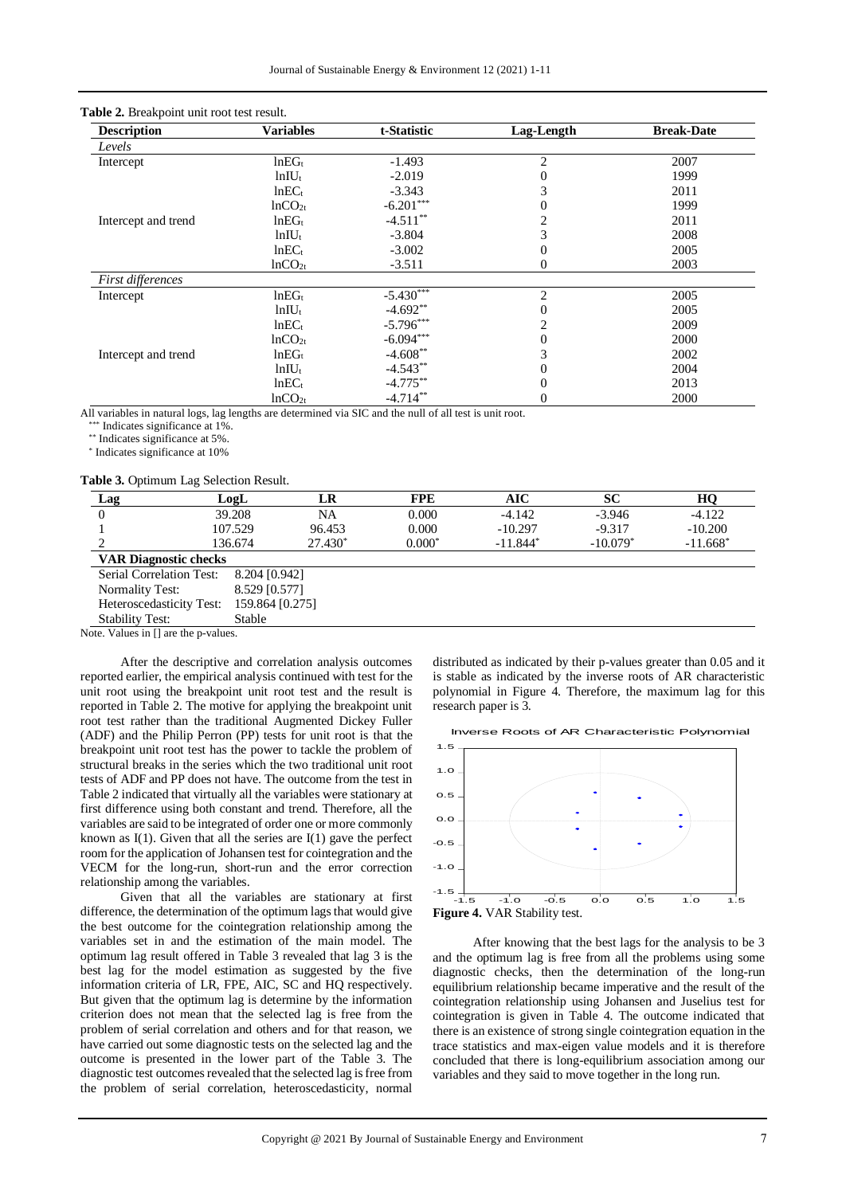| <b>Description</b>       | <b>Variables</b>   | t-Statistic  | Lag-Length     | <b>Break-Date</b> |
|--------------------------|--------------------|--------------|----------------|-------------------|
| Levels                   |                    |              |                |                   |
| Intercept                | $lnEG_t$           | $-1.493$     | $\overline{c}$ | 2007              |
|                          | $lnIU_t$           | $-2.019$     | 0              | 1999              |
|                          | lnEC <sub>t</sub>  | $-3.343$     | 3              | 2011              |
|                          | lnCO <sub>2t</sub> | $-6.201***$  | 0              | 1999              |
| Intercept and trend      | $lnEG_t$           | $-4.511$ **  | 2              | 2011              |
|                          | $lnIU_t$           | $-3.804$     | 3              | 2008              |
|                          | lnEC <sub>t</sub>  | $-3.002$     | $\theta$       | 2005              |
|                          | lnCO <sub>2t</sub> | $-3.511$     | 0              | 2003              |
| <b>First differences</b> |                    |              |                |                   |
| Intercept                | $lnEG_t$           | $-5.430$ *** | $\overline{2}$ | 2005              |
|                          | $lnIU_t$           | $-4.692**$   | 0              | 2005              |
|                          | $lnEC_t$           | $-5.796***$  | 2              | 2009              |
|                          | lnCO <sub>2t</sub> | $-6.094***$  | 0              | 2000              |
| Intercept and trend      | $lnEG_t$           | $-4.608**$   | 3              | 2002              |
|                          | $lnIU_t$           | $-4.543**$   | 0              | 2004              |
|                          | lnEC <sub>t</sub>  | $-4.775***$  | 0              | 2013              |
|                          | lnCO <sub>2t</sub> | $-4.714**$   | 0              | 2000              |

**Table 2.** Breakpoint unit root test result.

All variables in natural logs, lag lengths are determined via SIC and the null of all test is unit root.

\*\* Indicates significance at 1%.

\*\* Indicates significance at 5%.

\* Indicates significance at 10%

# **Table 3.** Optimum Lag Selection Result.

| Lag                          | LogL            | LR        | <b>FPE</b> | <b>AIC</b>             | SC         | HQ         |
|------------------------------|-----------------|-----------|------------|------------------------|------------|------------|
|                              | 39.208          | NA        | 0.000      | $-4.142$               | $-3.946$   | $-4.122$   |
|                              | 107.529         | 96.453    | 0.000      | $-10.297$              | $-9.317$   | $-10.200$  |
|                              | 136.674         | $27.430*$ | $0.000*$   | $-11.844$ <sup>*</sup> | $-10.079*$ | $-11.668*$ |
| <b>VAR Diagnostic checks</b> |                 |           |            |                        |            |            |
| Serial Correlation Test:     | 8.204 [0.942]   |           |            |                        |            |            |
| <b>Normality Test:</b>       | 8.529 [0.577]   |           |            |                        |            |            |
| Heteroscedasticity Test:     | 159.864 [0.275] |           |            |                        |            |            |
| <b>Stability Test:</b>       | Stable          |           |            |                        |            |            |

Note. Values in  $\prod$  are the p-values.

After the descriptive and correlation analysis outcomes reported earlier, the empirical analysis continued with test for the unit root using the breakpoint unit root test and the result is reported in Table 2. The motive for applying the breakpoint unit root test rather than the traditional Augmented Dickey Fuller (ADF) and the Philip Perron (PP) tests for unit root is that the breakpoint unit root test has the power to tackle the problem of structural breaks in the series which the two traditional unit root tests of ADF and PP does not have. The outcome from the test in Table 2 indicated that virtually all the variables were stationary at first difference using both constant and trend. Therefore, all the variables are said to be integrated of order one or more commonly known as  $I(1)$ . Given that all the series are  $I(1)$  gave the perfect room for the application of Johansen test for cointegration and the VECM for the long-run, short-run and the error correction relationship among the variables.

Given that all the variables are stationary at first difference, the determination of the optimum lags that would give the best outcome for the cointegration relationship among the variables set in and the estimation of the main model. The optimum lag result offered in Table 3 revealed that lag 3 is the best lag for the model estimation as suggested by the five information criteria of LR, FPE, AIC, SC and HQ respectively. But given that the optimum lag is determine by the information criterion does not mean that the selected lag is free from the problem of serial correlation and others and for that reason, we have carried out some diagnostic tests on the selected lag and the outcome is presented in the lower part of the Table 3. The diagnostic test outcomes revealed that the selected lag is free from the problem of serial correlation, heteroscedasticity, normal distributed as indicated by their p-values greater than 0.05 and it is stable as indicated by the inverse roots of AR characteristic polynomial in Figure 4. Therefore, the maximum lag for this research paper is 3.

verse Roots of AR Characteristic Polynomial



After knowing that the best lags for the analysis to be 3 and the optimum lag is free from all the problems using some diagnostic checks, then the determination of the long-run equilibrium relationship became imperative and the result of the cointegration relationship using Johansen and Juselius test for cointegration is given in Table 4. The outcome indicated that there is an existence of strong single cointegration equation in the trace statistics and max-eigen value models and it is therefore concluded that there is long-equilibrium association among our variables and they said to move together in the long run.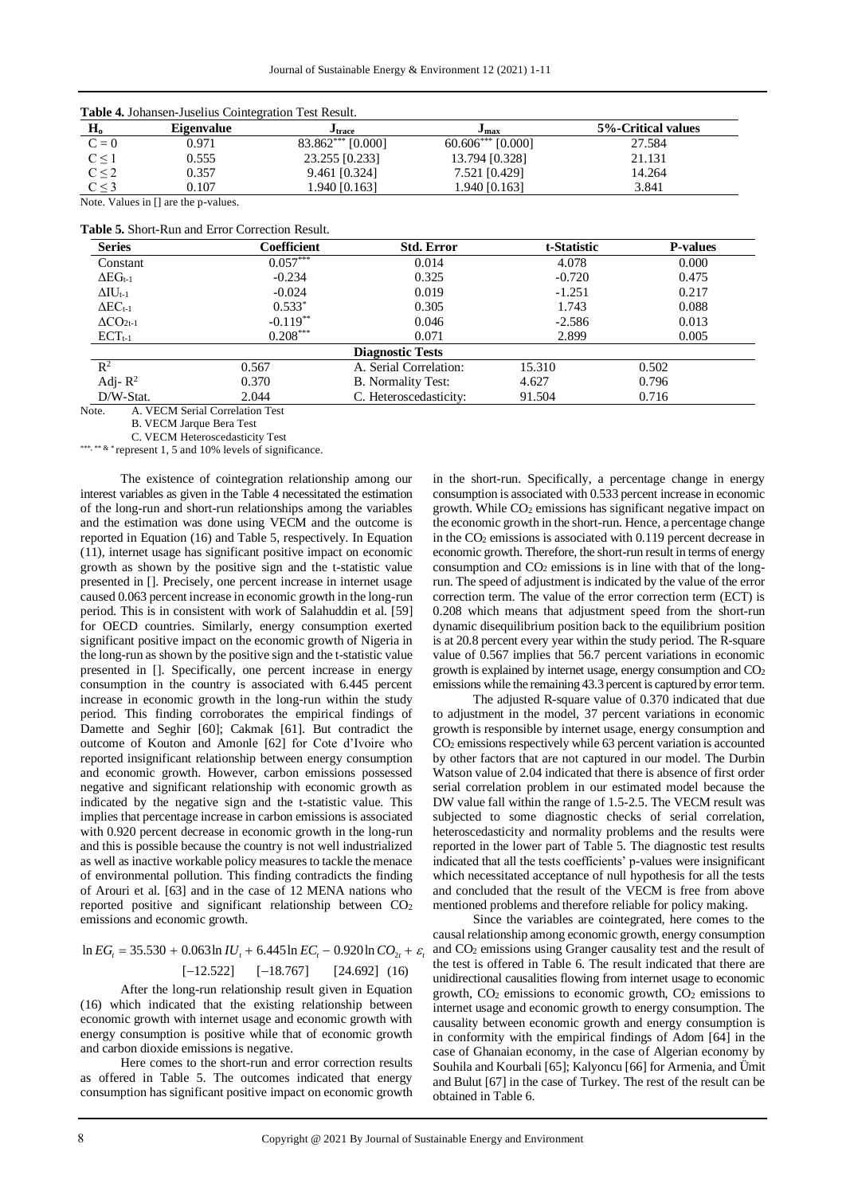| H <sub>o</sub> | <b>Eigenvalue</b> | J trace             | Jmax                | 5%-Critical values |
|----------------|-------------------|---------------------|---------------------|--------------------|
| $C = 0$        | 0.971             | $83.862***$ [0.000] | $60.606***$ [0.000] | 27.584             |
| $C \leq 1$     | 0.555             | 23.255 [0.233]      | 13.794 [0.328]      | 21.131             |
| $C \leq 2$     | 0.357             | 9.461 [0.324]       | 7.521 [0.429]       | 14.264             |
| $C \leq 3$     | 0.107             | 1.940 [0.163]       | 1.940 [0.163]       | 3.841              |

**Table 4.** Johansen-Juselius Cointegration Test Result.

Note. Values in [] are the p-values.

| <b>Table 5.</b> Short-Run and Error Correction Result. |
|--------------------------------------------------------|
|--------------------------------------------------------|

| <b>Series</b>              | Coefficient | <b>Std. Error</b>       | t-Statistic | <b>P-values</b> |
|----------------------------|-------------|-------------------------|-------------|-----------------|
| Constant                   | $0.057***$  | 0.014                   | 4.078       | 0.000           |
| $\Delta E G_{t-1}$         | $-0.234$    | 0.325                   | $-0.720$    | 0.475           |
| $\Delta \text{IU}_{t-1}$   | $-0.024$    | 0.019                   | $-1.251$    | 0.217           |
| $\Delta$ EC <sub>t-1</sub> | $0.533*$    | 0.305                   | 1.743       | 0.088           |
| $\Delta CO_{2t-1}$         | $-0.119**$  | 0.046                   | $-2.586$    | 0.013           |
| $ECTt-1$                   | $0.208***$  | 0.071                   | 2.899       | 0.005           |
|                            |             | <b>Diagnostic Tests</b> |             |                 |
| $\mathbb{R}^2$             | 0.567       | A. Serial Correlation:  | 15.310      | 0.502           |
| Adj- $R^2$                 | 0.370       | B. Normality Test:      | 4.627       | 0.796           |
| $D/W$ -Stat.               | 2.044       | C. Heteroscedasticity:  | 91.504      | 0.716           |

Note. A. VECM Serial Correlation Test

B. VECM Jarque Bera Test

C. VECM Heteroscedasticity Test

\*\*\*, \*\* & \* represent 1, 5 and 10% levels of significance.

The existence of cointegration relationship among our interest variables as given in the Table 4 necessitated the estimation of the long-run and short-run relationships among the variables and the estimation was done using VECM and the outcome is reported in Equation (16) and Table 5, respectively. In Equation (11), internet usage has significant positive impact on economic growth as shown by the positive sign and the t-statistic value presented in []. Precisely, one percent increase in internet usage caused 0.063 percent increase in economic growth in the long-run period. This is in consistent with work of Salahuddin et al. [59] for OECD countries. Similarly, energy consumption exerted significant positive impact on the economic growth of Nigeria in the long-run as shown by the positive sign and the t-statistic value presented in []. Specifically, one percent increase in energy consumption in the country is associated with 6.445 percent increase in economic growth in the long-run within the study period. This finding corroborates the empirical findings of Damette and Seghir [60]; Cakmak [61]. But contradict the outcome of Kouton and Amonle [62] for Cote d'Ivoire who reported insignificant relationship between energy consumption and economic growth. However, carbon emissions possessed negative and significant relationship with economic growth as indicated by the negative sign and the t-statistic value. This implies that percentage increase in carbon emissions is associated with 0.920 percent decrease in economic growth in the long-run and this is possible because the country is not well industrialized as well as inactive workable policy measures to tackle the menace of environmental pollution. This finding contradicts the finding of Arouri et al. [63] and in the case of 12 MENA nations who reported positive and significant relationship between CO<sub>2</sub>

emissions and economic growth.  
\n
$$
\ln EG_{t} = 35.530 + 0.063 \ln IU_{t} + 6.445 \ln EC_{t} - 0.920 \ln CO_{2t} + \varepsilon_{t}
$$
\n
$$
[-12.522] \qquad [-18.767] \qquad [24.692] \quad (16)
$$

After the long-run relationship result given in Equation (16) which indicated that the existing relationship between economic growth with internet usage and economic growth with energy consumption is positive while that of economic growth and carbon dioxide emissions is negative.

Here comes to the short-run and error correction results as offered in Table 5. The outcomes indicated that energy consumption has significant positive impact on economic growth in the short-run. Specifically, a percentage change in energy consumption is associated with 0.533 percent increase in economic growth. While CO<sup>2</sup> emissions has significant negative impact on the economic growth in the short-run. Hence, a percentage change in the  $CO<sub>2</sub>$  emissions is associated with 0.119 percent decrease in economic growth. Therefore, the short-run result in terms of energy consumption and  $CO<sub>2</sub>$  emissions is in line with that of the longrun. The speed of adjustment is indicated by the value of the error correction term. The value of the error correction term (ECT) is 0.208 which means that adjustment speed from the short-run dynamic disequilibrium position back to the equilibrium position is at 20.8 percent every year within the study period. The R-square value of 0.567 implies that 56.7 percent variations in economic growth is explained by internet usage, energy consumption and CO<sup>2</sup> emissions while the remaining 43.3 percent is captured by error term.

The adjusted R-square value of 0.370 indicated that due to adjustment in the model, 37 percent variations in economic growth is responsible by internet usage, energy consumption and CO<sup>2</sup> emissions respectively while 63 percent variation is accounted by other factors that are not captured in our model. The Durbin Watson value of 2.04 indicated that there is absence of first order serial correlation problem in our estimated model because the DW value fall within the range of 1.5-2.5. The VECM result was subjected to some diagnostic checks of serial correlation, heteroscedasticity and normality problems and the results were reported in the lower part of Table 5. The diagnostic test results indicated that all the tests coefficients' p-values were insignificant which necessitated acceptance of null hypothesis for all the tests and concluded that the result of the VECM is free from above mentioned problems and therefore reliable for policy making.

Since the variables are cointegrated, here comes to the causal relationship among economic growth, energy consumption and CO<sup>2</sup> emissions using Granger causality test and the result of the test is offered in Table 6. The result indicated that there are unidirectional causalities flowing from internet usage to economic growth,  $CO<sub>2</sub>$  emissions to economic growth,  $CO<sub>2</sub>$  emissions to internet usage and economic growth to energy consumption. The causality between economic growth and energy consumption is in conformity with the empirical findings of Adom [64] in the case of Ghanaian economy, in the case of Algerian economy by Souhila and Kourbali [65]; Kalyoncu [66] for Armenia, and Ümit and Bulut [67] in the case of Turkey. The rest of the result can be obtained in Table 6.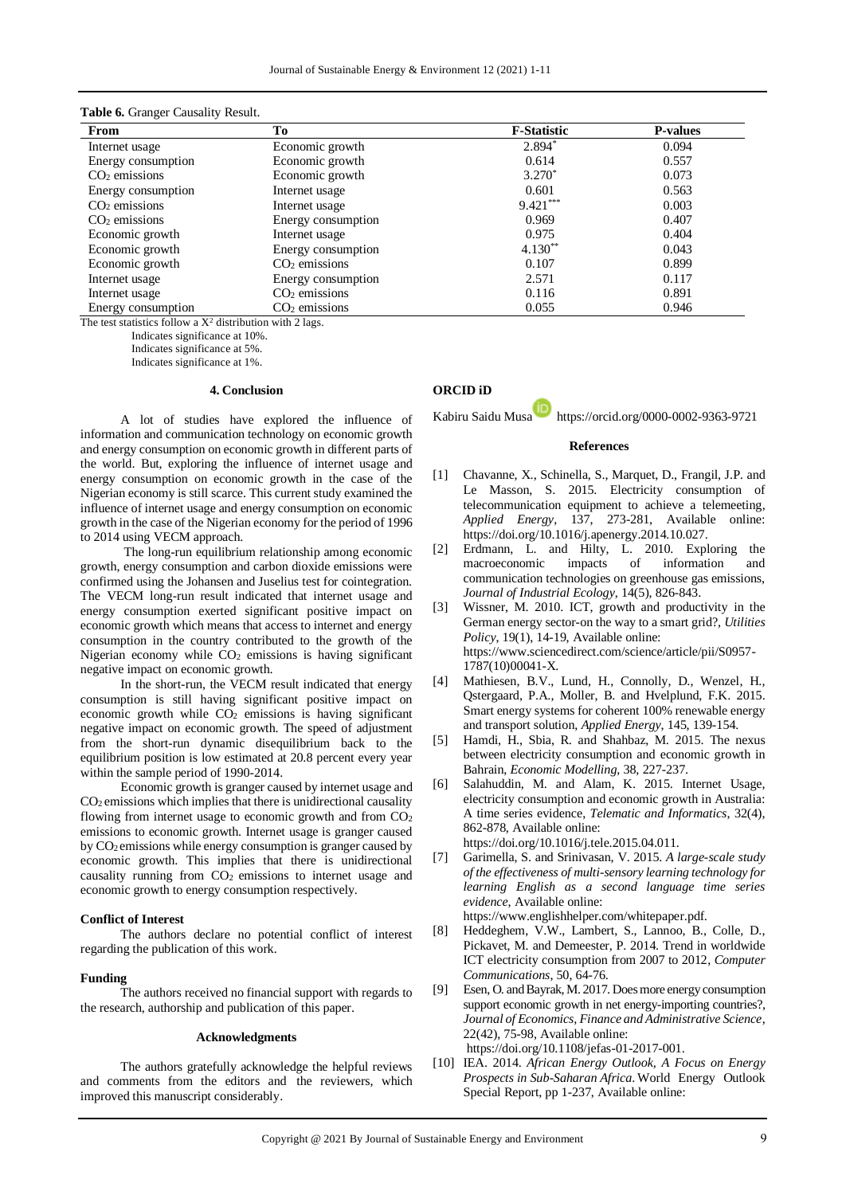| From               | Tо                 | <b>F-Statistic</b> | <b>P-values</b> |
|--------------------|--------------------|--------------------|-----------------|
| Internet usage     | Economic growth    | $2.894*$           | 0.094           |
| Energy consumption | Economic growth    | 0.614              | 0.557           |
| $CO2$ emissions    | Economic growth    | $3.270*$           | 0.073           |
| Energy consumption | Internet usage     | 0.601              | 0.563           |
| $CO2$ emissions    | Internet usage     | $9.421***$         | 0.003           |
| $CO2$ emissions    | Energy consumption | 0.969              | 0.407           |
| Economic growth    | Internet usage     | 0.975              | 0.404           |
| Economic growth    | Energy consumption | $4.130**$          | 0.043           |
| Economic growth    | $CO2$ emissions    | 0.107              | 0.899           |
| Internet usage     | Energy consumption | 2.571              | 0.117           |
| Internet usage     | $CO2$ emissions    | 0.116              | 0.891           |
| Energy consumption | $CO2$ emissions    | 0.055              | 0.946           |

**Table 6.** Granger Causality Result.

The test statistics follow a  $X^2$  distribution with 2 lags.

Indicates significance at 10%.

Indicates significance at 5%.

Indicates significance at 1%.

# **4. Conclusion**

A lot of studies have explored the influence of information and communication technology on economic growth and energy consumption on economic growth in different parts of the world. But, exploring the influence of internet usage and energy consumption on economic growth in the case of the Nigerian economy is still scarce. This current study examined the influence of internet usage and energy consumption on economic growth in the case of the Nigerian economy for the period of 1996 to 2014 using VECM approach.

The long-run equilibrium relationship among economic growth, energy consumption and carbon dioxide emissions were confirmed using the Johansen and Juselius test for cointegration. The VECM long-run result indicated that internet usage and energy consumption exerted significant positive impact on economic growth which means that access to internet and energy consumption in the country contributed to the growth of the Nigerian economy while  $CO<sub>2</sub>$  emissions is having significant negative impact on economic growth.

In the short-run, the VECM result indicated that energy consumption is still having significant positive impact on economic growth while  $CO<sub>2</sub>$  emissions is having significant negative impact on economic growth. The speed of adjustment from the short-run dynamic disequilibrium back to the equilibrium position is low estimated at 20.8 percent every year within the sample period of 1990-2014.

Economic growth is granger caused by internet usage and  $CO<sub>2</sub>$  emissions which implies that there is unidirectional causality flowing from internet usage to economic growth and from CO<sup>2</sup> emissions to economic growth. Internet usage is granger caused by CO2 emissions while energy consumption is granger caused by economic growth. This implies that there is unidirectional causality running from CO<sub>2</sub> emissions to internet usage and economic growth to energy consumption respectively.

### **Conflict of Interest**

The authors declare no potential conflict of interest regarding the publication of this work.

# **Funding**

The authors received no financial support with regards to the research, authorship and publication of this paper.

#### **Acknowledgments**

The authors gratefully acknowledge the helpful reviews and comments from the editors and the reviewers, which improved this manuscript considerably.

# **ORCID iD**

Kabiru Saidu Musa https://orcid.org/0000-0002-9363-9721

# **References**

- [1] Chavanne, X., Schinella, S., Marquet, D., Frangil, J.P. and Le Masson, S. 2015. Electricity consumption of telecommunication equipment to achieve a telemeeting, *Applied Energy*, 137, 273-281, Available online: https://doi.org/10.1016/j.apenergy.2014.10.027.
- [2] Erdmann, L. and Hilty, L. 2010. Exploring the macroeconomic impacts of information and communication technologies on greenhouse gas emissions, *Journal of Industrial Ecology*, 14(5), 826-843.
- [3] Wissner, M. 2010. ICT, growth and productivity in the German energy sector-on the way to a smart grid?, *Utilities Policy*, 19(1), 14-19, Available online: https://www.sciencedirect.com/science/article/pii/S0957- 1787(10)00041-X.
- [4] Mathiesen, B.V., Lund, H., Connolly, D., Wenzel, H., Qstergaard, P.A., Moller, B. and Hvelplund, F.K. 2015. Smart energy systems for coherent 100% renewable energy and transport solution, *Applied Energy*, 145, 139-154.
- [5] Hamdi, H., Sbia, R. and Shahbaz, M. 2015. The nexus between electricity consumption and economic growth in Bahrain, *Economic Modelling*, 38, 227-237.
- [6] Salahuddin, M. and Alam, K. 2015. Internet Usage, electricity consumption and economic growth in Australia: A time series evidence, *Telematic and Informatics*, 32(4), 862-878, Available online: https://doi.org/10.1016/j.tele.2015.04.011.
- [7] Garimella, S. and Srinivasan, V. 2015. *A large-scale study of the effectiveness of multi-sensory learning technology for learning English as a second language time series evidence*, Available online:

https://www.englishhelper.com/whitepaper.pdf.

- [8] Heddeghem, V.W., Lambert, S., Lannoo, B., Colle, D., Pickavet, M. and Demeester, P. 2014. Trend in worldwide ICT electricity consumption from 2007 to 2012, *Computer Communications*, 50, 64-76.
- [9] Esen, O. and Bayrak, M. 2017. Does more energy consumption support economic growth in net energy-importing countries?, *Journal of Economics, Finance and Administrative Science*, 22(42), 75-98, Available online: https://doi.org/10.1108/jefas-01-2017-001.
- [10] IEA. 2014. *African Energy Outlook, A Focus on Energy Prospects in Sub-Saharan Africa*. World Energy Outlook Special Report, pp 1-237, Available online: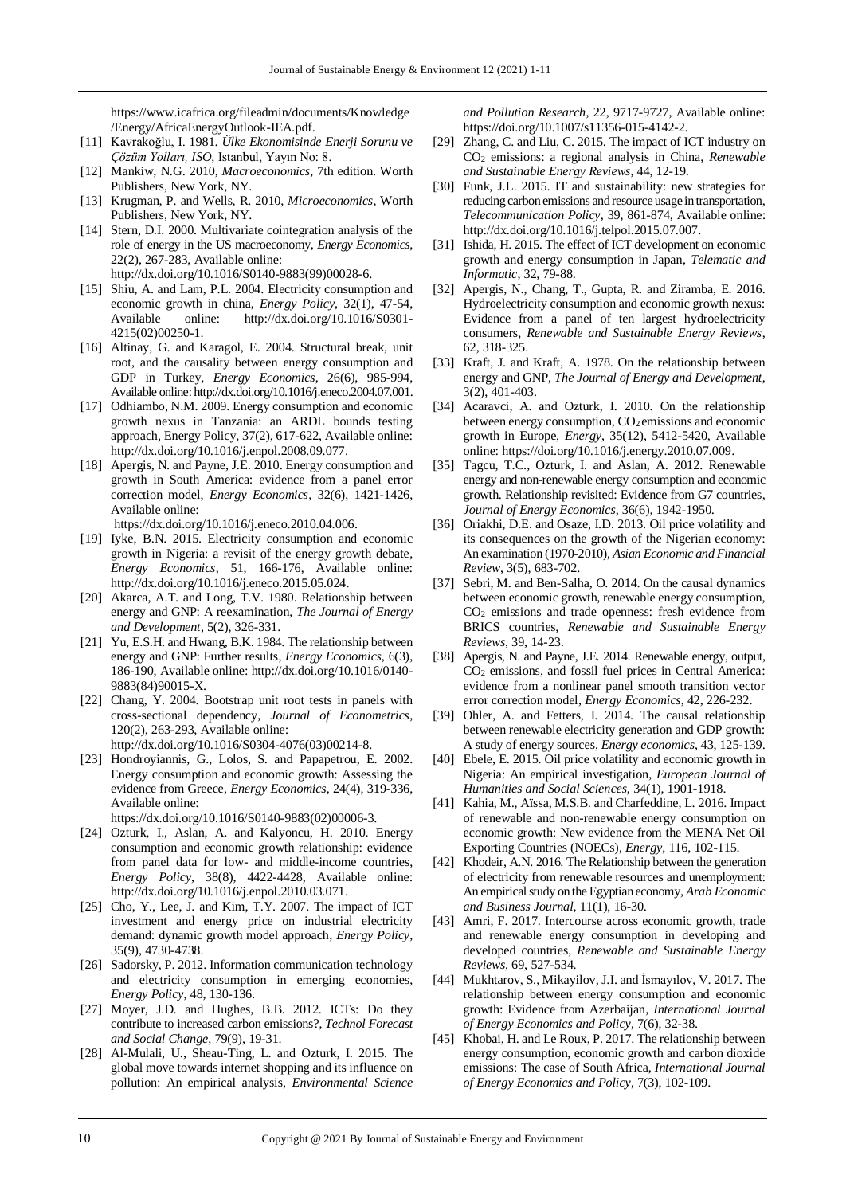https://www.icafrica.org/fileadmin/documents/Knowledge /Energy/AfricaEnergyOutlook-IEA.pdf.

- [11] Kavrakoğlu, I. 1981. *Ülke Ekonomisinde Enerji Sorunu ve Çözüm Yolları, ISO*, Istanbul, Yayın No: 8.
- [12] Mankiw, N.G. 2010, *Macroeconomics*, 7th edition. Worth Publishers, New York, NY.
- [13] Krugman, P. and Wells, R. 2010, *Microeconomics*, Worth Publishers, New York, NY.
- [14] Stern, D.I. 2000. Multivariate cointegration analysis of the role of energy in the US macroeconomy, *Energy Economics*, 22(2), 267-283, Available online: [http://dx.doi.org/10.1016/S0140-9883\(99\)00028-6.](http://dx.doi.org/10.1016/S0140-9883(99)00028-6)
- [15] Shiu, A. and Lam, P.L. 2004. Electricity consumption and economic growth in china, *Energy Policy*, 32(1), 47-54, Available online: http://dx.doi.org/10.1016/S0301- 4215(02)00250-1.
- [16] Altinay, G. and Karagol, E. 2004. Structural break, unit root, and the causality between energy consumption and GDP in Turkey, *Energy Economics*, 26(6), 985-994, Available online: http://dx.doi.org/10.1016/j.eneco.2004.07.001.
- [17] Odhiambo, N.M. 2009. Energy consumption and economic growth nexus in Tanzania: an ARDL bounds testing approach, Energy Policy, 37(2), 617-622, Available online: http://dx.doi.org/10.1016/j.enpol.2008.09.077.
- [18] Apergis, N. and Payne, J.E. 2010. Energy consumption and growth in South America: evidence from a panel error correction model, *Energy Economics*, 32(6), 1421-1426, Available online:

https://dx.doi.org/10.1016/j.eneco.2010.04.006.

- [19] Iyke, B.N. 2015. Electricity consumption and economic growth in Nigeria: a revisit of the energy growth debate, *Energy Economics*, 51, 166-176, Available online: http://dx.doi.org/10.1016/j.eneco.2015.05.024.
- [20] Akarca, A.T. and Long, T.V. 1980. Relationship between energy and GNP: A reexamination, *The Journal of Energy and Development*, 5(2), 326-331.
- [21] Yu, E.S.H. and Hwang, B.K. 1984. The relationship between energy and GNP: Further results, *Energy Economics*, 6(3), 186-190, Available online: http://dx.doi.org/10.1016/0140- 9883(84)90015-X.
- [22] Chang, Y. 2004. Bootstrap unit root tests in panels with cross-sectional dependency, *Journal of Econometrics*, 120(2), 263-293, Available online: http://dx.doi.org/10.1016/S0304-4076(03)00214-8.
- [23] Hondroyiannis, G., Lolos, S. and Papapetrou, E. 2002. Energy consumption and economic growth: Assessing the evidence from Greece, *Energy Economics*, 24(4), 319-336, Available online: https://dx.doi.org/10.1016/S0140-9883(02)00006-3.
- [24] Ozturk, I., Aslan, A. and Kalyoncu, H. 2010. Energy consumption and economic growth relationship: evidence from panel data for low- and middle-income countries, *Energy Policy*, 38(8), 4422-4428, Available online: http://dx.doi.org/10.1016/j.enpol.2010.03.071.
- [25] Cho, Y., Lee, J. and Kim, T.Y. 2007. The impact of ICT investment and energy price on industrial electricity demand: dynamic growth model approach, *Energy Policy*, 35(9), 4730-4738.
- [26] Sadorsky, P. 2012. Information communication technology and electricity consumption in emerging economies, *Energy Policy*, 48, 130-136.
- [27] Moyer, J.D. and Hughes, B.B. 2012. ICTs: Do they contribute to increased carbon emissions?, *Technol Forecast and Social Change*, 79(9), 19-31.
- [28] Al-Mulali, U., Sheau-Ting, L. and Ozturk, I. 2015. The global move towards internet shopping and its influence on pollution: An empirical analysis, *Environmental Science*

*and Pollution Research*, 22, 9717-9727, Available online: https://doi.org/10.1007/s11356-015-4142-2.

- [29] Zhang, C. and Liu, C. 2015. The impact of ICT industry on CO<sup>2</sup> emissions: a regional analysis in China, *Renewable and Sustainable Energy Reviews*, 44, 12-19.
- [30] Funk, J.L. 2015. IT and sustainability: new strategies for reducing carbon emissions and resource usage in transportation, *Telecommunication Policy*, 39, 861-874, Available online: http://dx.doi.org/10.1016/j.telpol.2015.07.007.
- [31] Ishida, H. 2015. The effect of ICT development on economic growth and energy consumption in Japan, *Telematic and Informatic*, 32, 79-88.
- [32] Apergis, N., Chang, T., Gupta, R. and Ziramba, E. 2016. Hydroelectricity consumption and economic growth nexus: Evidence from a panel of ten largest hydroelectricity consumers, *Renewable and Sustainable Energy Reviews*, 62, 318-325.
- [33] Kraft, J. and Kraft, A. 1978. On the relationship between energy and GNP, *The Journal of Energy and Development*, 3(2), 401-403.
- [34] Acaravci, A. and Ozturk, I. 2010. On the relationship between energy consumption, CO<sub>2</sub> emissions and economic growth in Europe, *Energy*, 35(12), 5412-5420, Available online: https://doi.org/10.1016/j.energy.2010.07.009.
- [35] Tagcu, T.C., Ozturk, I. and Aslan, A. 2012. Renewable energy and non-renewable energy consumption and economic growth. Relationship revisited: Evidence from G7 countries, *Journal of Energy Economics*, 36(6), 1942-1950.
- [36] Oriakhi, D.E. and Osaze, I.D. 2013. Oil price volatility and its consequences on the growth of the Nigerian economy: An examination (1970-2010), *Asian Economic and Financial Review*, 3(5), 683-702.
- [37] Sebri, M. and Ben-Salha, O. 2014. On the causal dynamics between economic growth, renewable energy consumption, CO<sup>2</sup> emissions and trade openness: fresh evidence from BRICS countries, *Renewable and Sustainable Energy Reviews*, 39, 14-23.
- [38] Apergis, N. and Payne, J.E. 2014. Renewable energy, output, CO<sup>2</sup> emissions, and fossil fuel prices in Central America: evidence from a nonlinear panel smooth transition vector error correction model, *Energy Economics*, 42, 226-232.
- [39] Ohler, A. and Fetters, I. 2014. The causal relationship between renewable electricity generation and GDP growth: A study of energy sources, *Energy economics*, 43, 125-139.
- [40] Ebele, E. 2015. Oil price volatility and economic growth in Nigeria: An empirical investigation, *European Journal of Humanities and Social Sciences*, 34(1), 1901-1918.
- [41] Kahia, M., Aïssa, M.S.B. and Charfeddine, L. 2016. Impact of renewable and non-renewable energy consumption on economic growth: New evidence from the MENA Net Oil Exporting Countries (NOECs), *Energy*, 116, 102-115.
- [42] Khodeir, A.N. 2016. The Relationship between the generation of electricity from renewable resources and unemployment: An empirical study on the Egyptian economy, *Arab Economic and Business Journal*, 11(1), 16-30.
- [43] Amri, F. 2017. Intercourse across economic growth, trade and renewable energy consumption in developing and developed countries, *Renewable and Sustainable Energy Reviews*, 69, 527-534.
- [44] Mukhtarov, S., Mikayilov, J.I. and İsmayılov, V. 2017. The relationship between energy consumption and economic growth: Evidence from Azerbaijan, *International Journal of Energy Economics and Policy*, 7(6), 32-38.
- [45] Khobai, H. and Le Roux, P. 2017. The relationship between energy consumption, economic growth and carbon dioxide emissions: The case of South Africa, *International Journal of Energy Economics and Policy*, 7(3), 102-109.